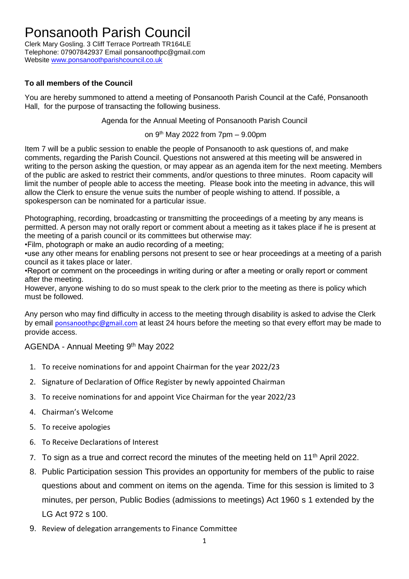## Ponsanooth Parish Council

Clerk Mary Gosling. 3 Cliff Terrace Portreath TR164LE Telephone: 07907842937 Email ponsanoothpc@gmail.com Website [www.ponsanoothparishcouncil.co.uk](http://www.ponsanoothparishcouncil.co.uk/)

## **To all members of the Council**

You are hereby summoned to attend a meeting of Ponsanooth Parish Council at the Café, Ponsanooth Hall, for the purpose of transacting the following business.

Agenda for the Annual Meeting of Ponsanooth Parish Council

on  $9<sup>th</sup>$  May 2022 from  $7$ pm  $-$  9.00pm

Item 7 will be a public session to enable the people of Ponsanooth to ask questions of, and make comments, regarding the Parish Council. Questions not answered at this meeting will be answered in writing to the person asking the question, or may appear as an agenda item for the next meeting. Members of the public are asked to restrict their comments, and/or questions to three minutes. Room capacity will limit the number of people able to access the meeting. Please book into the meeting in advance, this will allow the Clerk to ensure the venue suits the number of people wishing to attend. If possible, a spokesperson can be nominated for a particular issue.

Photographing, recording, broadcasting or transmitting the proceedings of a meeting by any means is permitted. A person may not orally report or comment about a meeting as it takes place if he is present at the meeting of a parish council or its committees but otherwise may:

•Film, photograph or make an audio recording of a meeting;

•use any other means for enabling persons not present to see or hear proceedings at a meeting of a parish council as it takes place or later.

•Report or comment on the proceedings in writing during or after a meeting or orally report or comment after the meeting.

However, anyone wishing to do so must speak to the clerk prior to the meeting as there is policy which must be followed.

Any person who may find difficulty in access to the meeting through disability is asked to advise the Clerk by email [ponsanoothpc@gmail.com](mailto:ponsanoothpc@gmail.com) at least 24 hours before the meeting so that every effort may be made to provide access.

## AGENDA - Annual Meeting 9<sup>th</sup> May 2022

- 1. To receive nominations for and appoint Chairman for the year 2022/23
- 2. Signature of Declaration of Office Register by newly appointed Chairman
- 3. To receive nominations for and appoint Vice Chairman for the year 2022/23
- 4. Chairman's Welcome
- 5. To receive apologies
- 6. To Receive Declarations of Interest
- 7. To sign as a true and correct record the minutes of the meeting held on 11<sup>th</sup> April 2022.
- 8. Public Participation session This provides an opportunity for members of the public to raise questions about and comment on items on the agenda. Time for this session is limited to 3 minutes, per person, Public Bodies (admissions to meetings) Act 1960 s 1 extended by the LG Act 972 s 100.
- 9. Review of delegation arrangements to Finance Committee